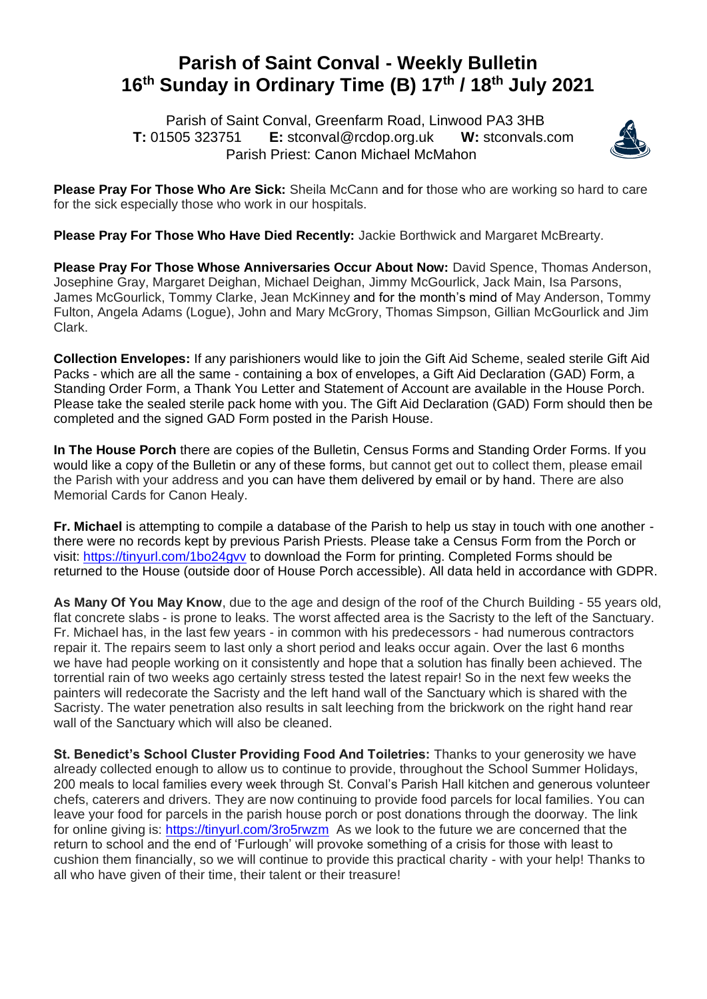## **Parish of Saint Conval - Weekly Bulletin 16 th Sunday in Ordinary Time (B) 17 th / 18 th July 2021**

 Parish of Saint Conval, Greenfarm Road, Linwood PA3 3HB **T:** 01505 323751 **E:** [stconval@rcdop.org.uk](mailto:stconval@rcdop.org.uk) **W:** stconvals.com Parish Priest: Canon Michael McMahon



**Please Pray For Those Who Are Sick:** Sheila McCann and for those who are working so hard to care for the sick especially those who work in our hospitals.

**Please Pray For Those Who Have Died Recently:** Jackie Borthwick and Margaret McBrearty.

**Please Pray For Those Whose Anniversaries Occur About Now:** David Spence, Thomas Anderson, Josephine Gray, Margaret Deighan, Michael Deighan, Jimmy McGourlick, Jack Main, Isa Parsons, James McGourlick, Tommy Clarke, Jean McKinney and for the month's mind of May Anderson, Tommy Fulton, Angela Adams (Logue), John and Mary McGrory, Thomas Simpson, Gillian McGourlick and Jim Clark.

**Collection Envelopes:** If any parishioners would like to join the Gift Aid Scheme, sealed sterile Gift Aid Packs - which are all the same - containing a box of envelopes, a Gift Aid Declaration (GAD) Form, a Standing Order Form, a Thank You Letter and Statement of Account are available in the House Porch. Please take the sealed sterile pack home with you. The Gift Aid Declaration (GAD) Form should then be completed and the signed GAD Form posted in the Parish House.

**In The House Porch** there are copies of the Bulletin, Census Forms and Standing Order Forms. If you would like a copy of the Bulletin or any of these forms, but cannot get out to collect them, please email the Parish with your address and you can have them delivered by email or by hand. There are also Memorial Cards for Canon Healy.

**Fr. Michael** is attempting to compile a database of the Parish to help us stay in touch with one another there were no records kept by previous Parish Priests. Please take a Census Form from the Porch or visit:<https://tinyurl.com/1bo24gvv> to download the Form for printing. Completed Forms should be returned to the House (outside door of House Porch accessible). All data held in accordance with GDPR.

**As Many Of You May Know**, due to the age and design of the roof of the Church Building - 55 years old, flat concrete slabs - is prone to leaks. The worst affected area is the Sacristy to the left of the Sanctuary. Fr. Michael has, in the last few years - in common with his predecessors - had numerous contractors repair it. The repairs seem to last only a short period and leaks occur again. Over the last 6 months we have had people working on it consistently and hope that a solution has finally been achieved. The torrential rain of two weeks ago certainly stress tested the latest repair! So in the next few weeks the painters will redecorate the Sacristy and the left hand wall of the Sanctuary which is shared with the Sacristy. The water penetration also results in salt leeching from the brickwork on the right hand rear wall of the Sanctuary which will also be cleaned.

**St. Benedict's School Cluster Providing Food And Toiletries:** Thanks to your generosity we have already collected enough to allow us to continue to provide, throughout the School Summer Holidays, 200 meals to local families every week through St. Conval's Parish Hall kitchen and generous volunteer chefs, caterers and drivers. They are now continuing to provide food parcels for local families. You can leave your food for parcels in the parish house porch or post donations through the doorway. The link for online giving is:<https://tinyurl.com/3ro5rwzm>As we look to the future we are concerned that the return to school and the end of 'Furlough' will provoke something of a crisis for those with least to cushion them financially, so we will continue to provide this practical charity - with your help! Thanks to all who have given of their time, their talent or their treasure!